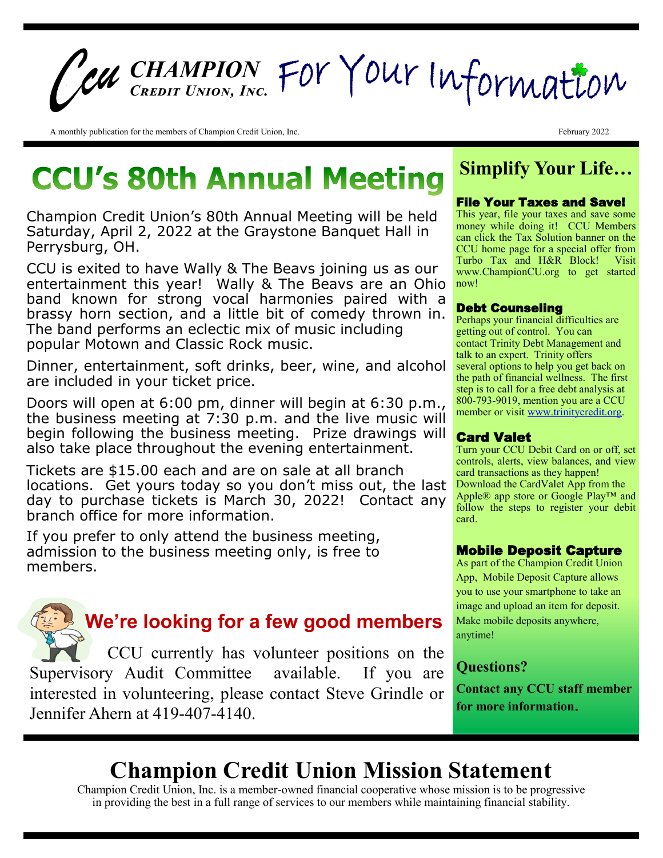# *CHAMPION Credit Union, Inc.*

A monthly publication for the members of Champion Credit Union, Inc. February 2022

# **CCU's 80th Annual Meeting**

Champion Credit Union's 80th Annual Meeting will be held Saturday, April 2, 2022 at the Graystone Banquet Hall in Perrysburg, OH.

CCU is exited to have Wally & The Beavs joining us as our entertainment this year! Wally & The Beavs are an Ohio band known for strong vocal harmonies paired with a brassy horn section, and a little bit of comedy thrown in. The band performs an eclectic mix of music including popular Motown and Classic Rock music.

Dinner, entertainment, soft drinks, beer, wine, and alcohol are included in your ticket price.

Doors will open at 6:00 pm, dinner will begin at 6:30 p.m., the business meeting at 7:30 p.m. and the live music will begin following the business meeting. Prize drawings will also take place throughout the evening entertainment.

Tickets are \$15.00 each and are on sale at all branch locations. Get yours today so you don't miss out, the last day to purchase tickets is March 30, 2022! Contact any branch office for more information.

If you prefer to only attend the business meeting, admission to the business meeting only, is free to members.

 **We're looking for a few good members** CCU currently has volunteer positions on the Supervisory Audit Committee available. If you are interested in volunteering, please contact Steve Grindle or Jennifer Ahern at 419-407-4140.

### **Simplify Your Life…**

#### File Your Taxes and Save!

This year, file your taxes and save some money while doing it! CCU Members can click the Tax Solution banner on the CCU home page for a special offer from Turbo Tax and H&R Block! Visit www.ChampionCU.org to get started now!

### Debt Counseling

Perhaps your financial difficulties are getting out of control. You can contact Trinity Debt Management and talk to an expert. Trinity offers several options to help you get back on the path of financial wellness. The first step is to call for a free debt analysis at 800-793-9019, mention you are a CCU member or visit [www.trinitycredit.org.](http://www.trinitycredit.org/)

### Card Valet

Turn your CCU Debit Card on or off, set controls, alerts, view balances, and view card transactions as they happen! Download the CardValet App from the Apple® app store or Google Play™ and follow the steps to register your debit card.

### Mobile Deposit Capture

As part of the Champion Credit Union App, Mobile Deposit Capture allows you to use your smartphone to take an image and upload an item for deposit. Make mobile deposits anywhere, anytime!

### **Questions?**

**Contact any CCU staff member for more information**.

## **Champion Credit Union Mission Statement**

Champion Credit Union, Inc. is a member-owned financial cooperative whose mission is to be progressive in providing the best in a full range of services to our members while maintaining financial stability.